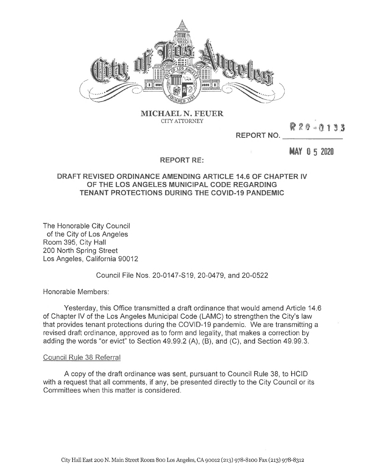

**MICHAEL N. FEUER CITY ATTORNEY**

**REPORT NO.**

**MAY 0 5 2020**

<sup>R</sup> *i* <sup>0</sup> -0.1 <sup>3</sup> <sup>3</sup>

## **REPORT RE:**

## **DRAFT REVISED ORDINANCE AMENDING ARTICLE 14.6 OF CHAPTER IV OF THE LOS ANGELES MUNICIPAL CODE REGARDING TENANT PROTECTIONS DURING THE COVID-19 PANDEMIC**

The Honorable City Council of the City of Los Angeles Room 395, City Hall 200 North Spring Street Los Angeles, California 90012

Council File Nos. 20-0147-S19, 20-0479, and 20-0522

Honorable Members:

Yesterday, this Office transmitted a draft ordinance that would amend Article 14.6 of Chapter IV of the Los Angeles Municipal Code (LAMC) to strengthen the City's law that provides tenant protections during the COVID-19 pandemic. We are transmitting a revised draft ordinance, approved as to form and legality, that makes a correction by adding the words "or evict" to Section 49.99.2 (A), (B), and (C), and Section 49.99.3.

## Council Rule 38 Referral

A copy of the draft ordinance was sent, pursuant to Council Rule 38, to HCID with a request that all comments, if any, be presented directly to the City Council or its Committees when this matter is considered.